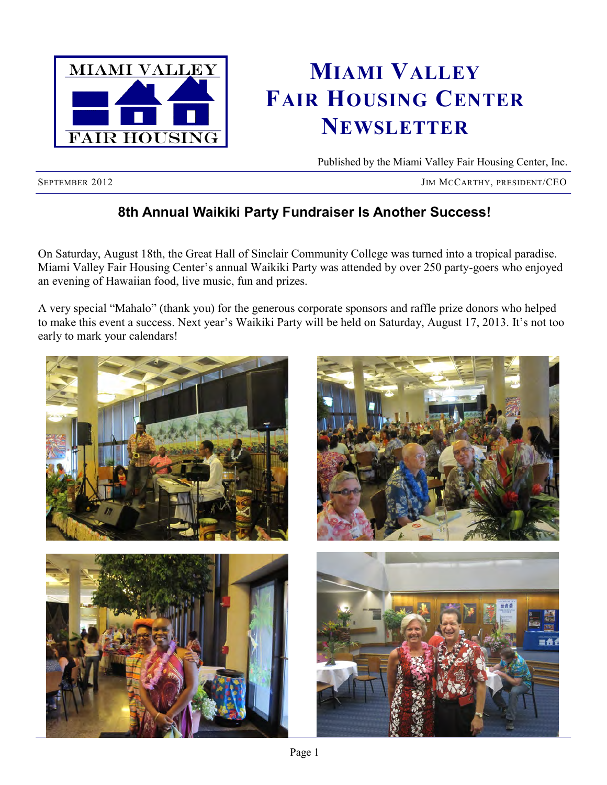

# **MIAMI VALLEY FAIR HOUSING CENTER NEWSLETTER**

Published by the Miami Valley Fair Housing Center, Inc.

SEPTEMBER 2012 JIM MCCARTHY, PRESIDENT/CEO

# **8th Annual Waikiki Party Fundraiser Is Another Success!**

On Saturday, August 18th, the Great Hall of Sinclair Community College was turned into a tropical paradise. Miami Valley Fair Housing Center's annual Waikiki Party was attended by over 250 party-goers who enjoyed an evening of Hawaiian food, live music, fun and prizes.

A very special "Mahalo" (thank you) for the generous corporate sponsors and raffle prize donors who helped to make this event a success. Next year's Waikiki Party will be held on Saturday, August 17, 2013. It's not too early to mark your calendars!

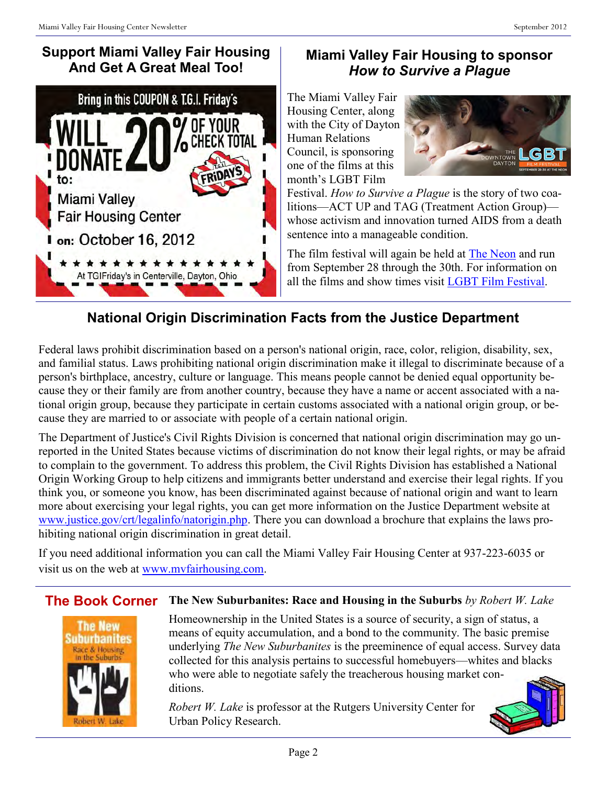# **Support Miami Valley Fair Housing And Get A Great Meal Too!**



## **Miami Valley Fair Housing to sponsor**  *How to Survive a Plague*

The Miami Valley Fair Housing Center, along with the City of Dayton Human Relations Council, is sponsoring one of the films at this month's LGBT Film



Festival. *How to Survive a Plague* is the story of two coalitions—ACT UP and TAG (Treatment Action Group) whose activism and innovation turned AIDS from a death sentence into a manageable condition.

The film festival will again be held at [The Neon](http://www.neonmovies.com/) and run from September 28 through the 30th. For information on all the films and show times visit [LGBT Film Festival.](http://daytonlgbt.com/)

# **National Origin Discrimination Facts from the Justice Department**

Federal laws prohibit discrimination based on a person's national origin, race, color, religion, disability, sex, and familial status. Laws prohibiting national origin discrimination make it illegal to discriminate because of a person's birthplace, ancestry, culture or language. This means people cannot be denied equal opportunity because they or their family are from another country, because they have a name or accent associated with a national origin group, because they participate in certain customs associated with a national origin group, or because they are married to or associate with people of a certain national origin.

The Department of Justice's Civil Rights Division is concerned that national origin discrimination may go unreported in the United States because victims of discrimination do not know their legal rights, or may be afraid to complain to the government. To address this problem, the Civil Rights Division has established a National Origin Working Group to help citizens and immigrants better understand and exercise their legal rights. If you think you, or someone you know, has been discriminated against because of national origin and want to learn more about exercising your legal rights, you can get more information on the Justice Department website at [www.justice.gov/crt/legalinfo/natorigin.php.](http://www.justice.gov/crt/legalinfo/natorigin.php) There you can download a brochure that explains the laws prohibiting national origin discrimination in great detail.

If you need additional information you can call the Miami Valley Fair Housing Center at 937-223-6035 or visit us on the web at [www.mvfairhousing.com.](http://www.mvfairhousing.com)

### **The Book Corner The New Suburbanites: Race and Housing in the Suburbs** *by Robert W. Lake*



Homeownership in the United States is a source of security, a sign of status, a means of equity accumulation, and a bond to the community. The basic premise underlying *The New Suburbanites* is the preeminence of equal access. Survey data collected for this analysis pertains to successful homebuyers—whites and blacks who were able to negotiate safely the treacherous housing market conditions.

*Robert W. Lake* is professor at the Rutgers University Center for Urban Policy Research.